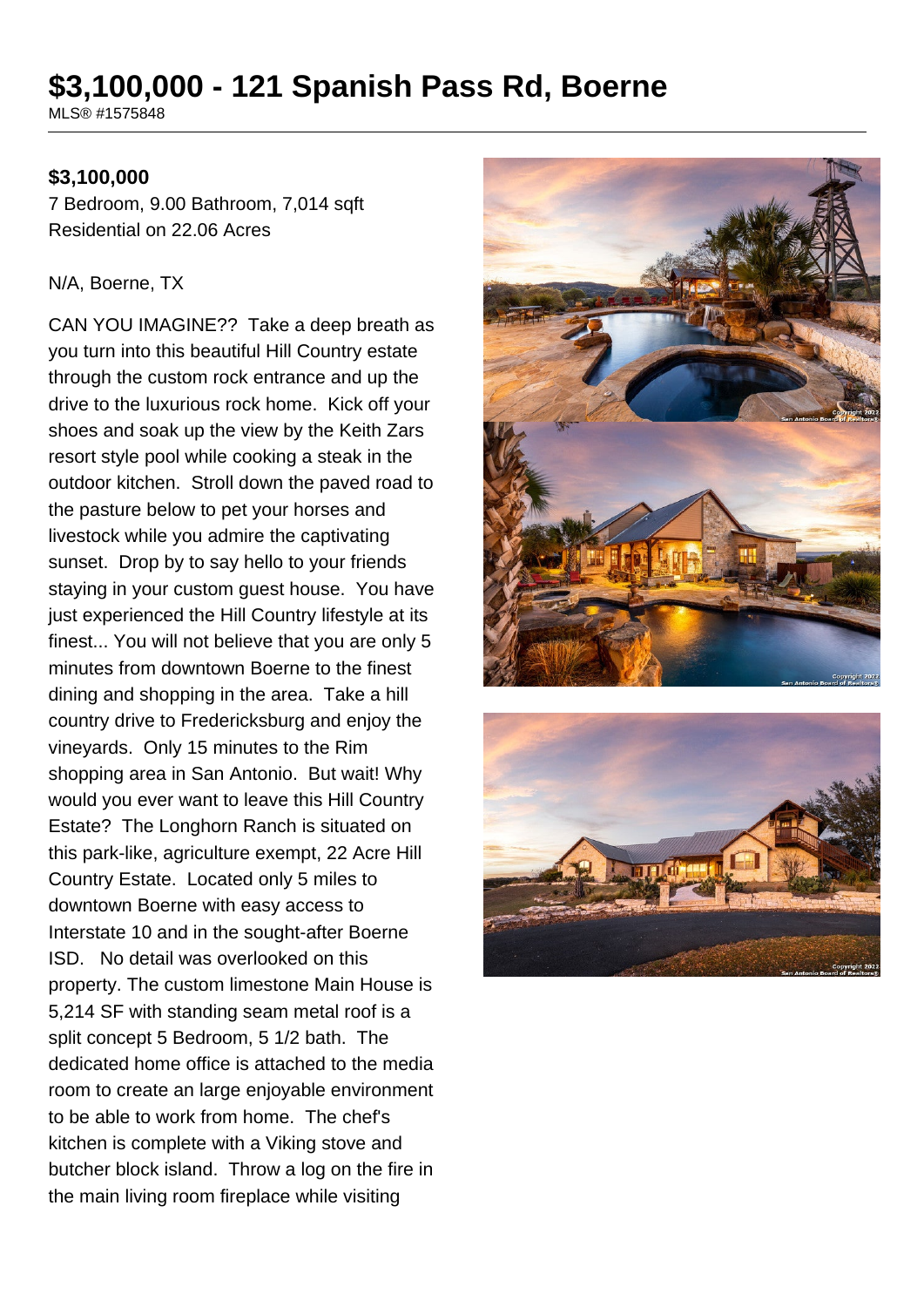# **\$3,100,000 - 121 Spanish Pass Rd, Boerne**

MLS® #1575848

#### **\$3,100,000**

7 Bedroom, 9.00 Bathroom, 7,014 sqft Residential on 22.06 Acres

#### N/A, Boerne, TX

CAN YOU IMAGINE?? Take a deep breath as you turn into this beautiful Hill Country estate through the custom rock entrance and up the drive to the luxurious rock home. Kick off your shoes and soak up the view by the Keith Zars resort style pool while cooking a steak in the outdoor kitchen. Stroll down the paved road to the pasture below to pet your horses and livestock while you admire the captivating sunset. Drop by to say hello to your friends staying in your custom guest house. You have just experienced the Hill Country lifestyle at its finest... You will not believe that you are only 5 minutes from downtown Boerne to the finest dining and shopping in the area. Take a hill country drive to Fredericksburg and enjoy the vineyards. Only 15 minutes to the Rim shopping area in San Antonio. But wait! Why would you ever want to leave this Hill Country Estate? The Longhorn Ranch is situated on this park-like, agriculture exempt, 22 Acre Hill Country Estate. Located only 5 miles to downtown Boerne with easy access to Interstate 10 and in the sought-after Boerne ISD. No detail was overlooked on this property. The custom limestone Main House is 5,214 SF with standing seam metal roof is a split concept 5 Bedroom, 5 1/2 bath. The dedicated home office is attached to the media room to create an large enjoyable environment to be able to work from home. The chef's kitchen is complete with a Viking stove and butcher block island. Throw a log on the fire in the main living room fireplace while visiting



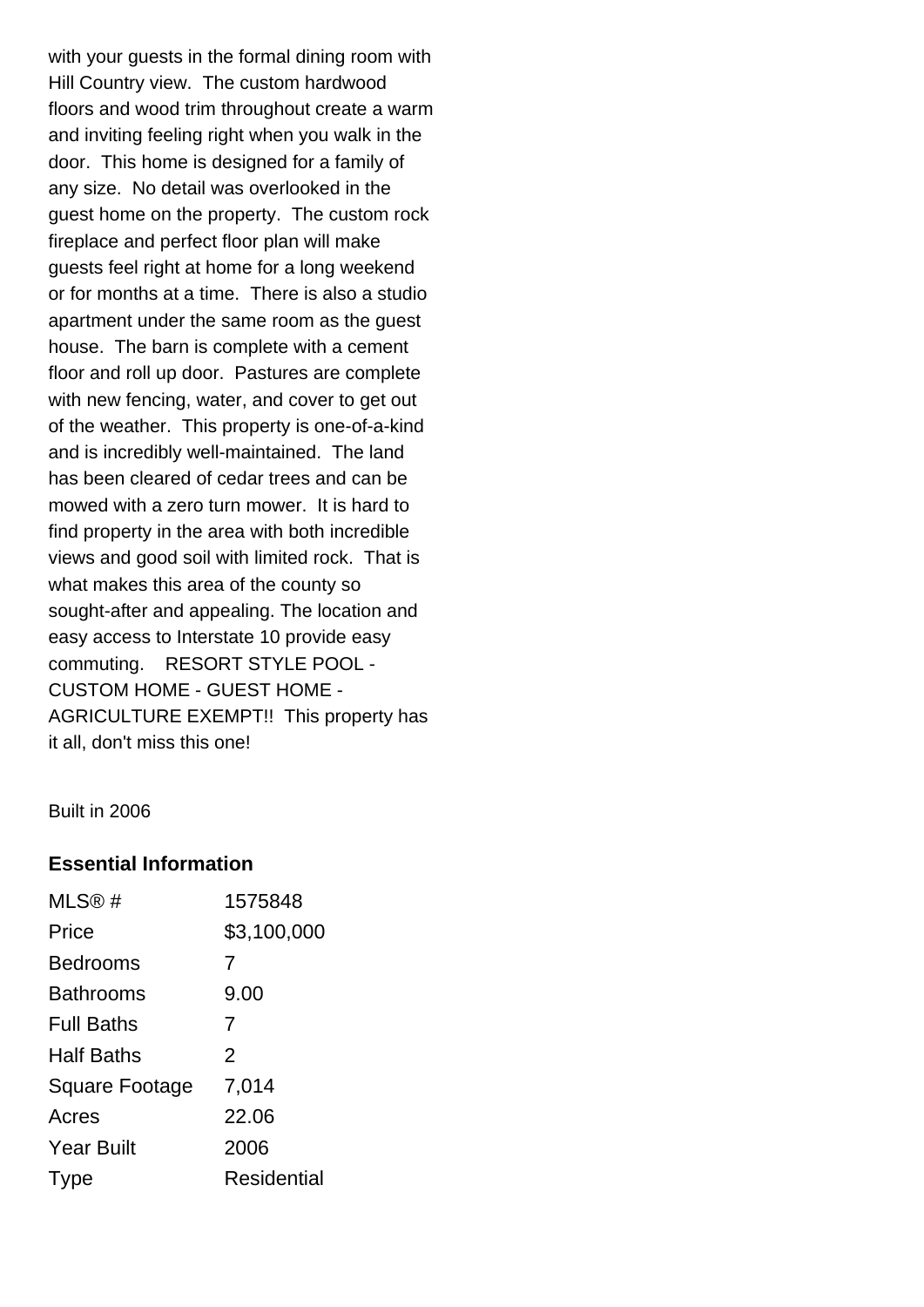with your guests in the formal dining room with Hill Country view. The custom hardwood floors and wood trim throughout create a warm and inviting feeling right when you walk in the door. This home is designed for a family of any size. No detail was overlooked in the guest home on the property. The custom rock fireplace and perfect floor plan will make guests feel right at home for a long weekend or for months at a time. There is also a studio apartment under the same room as the guest house. The barn is complete with a cement floor and roll up door. Pastures are complete with new fencing, water, and cover to get out of the weather. This property is one-of-a-kind and is incredibly well-maintained. The land has been cleared of cedar trees and can be mowed with a zero turn mower. It is hard to find property in the area with both incredible views and good soil with limited rock. That is what makes this area of the county so sought-after and appealing. The location and easy access to Interstate 10 provide easy commuting. RESORT STYLE POOL - CUSTOM HOME - GUEST HOME - AGRICULTURE EXEMPT!! This property has it all, don't miss this one!

Built in 2006

#### **Essential Information**

| MLS@#                 | 1575848        |
|-----------------------|----------------|
| Price                 | \$3,100,000    |
| <b>Bedrooms</b>       | 7              |
| <b>Bathrooms</b>      | 9.00           |
| <b>Full Baths</b>     | 7              |
| <b>Half Baths</b>     | $\mathfrak{p}$ |
| <b>Square Footage</b> | 7,014          |
| Acres                 | 22.06          |
| <b>Year Built</b>     | 2006           |
| <u>I</u> vpe          | Residential    |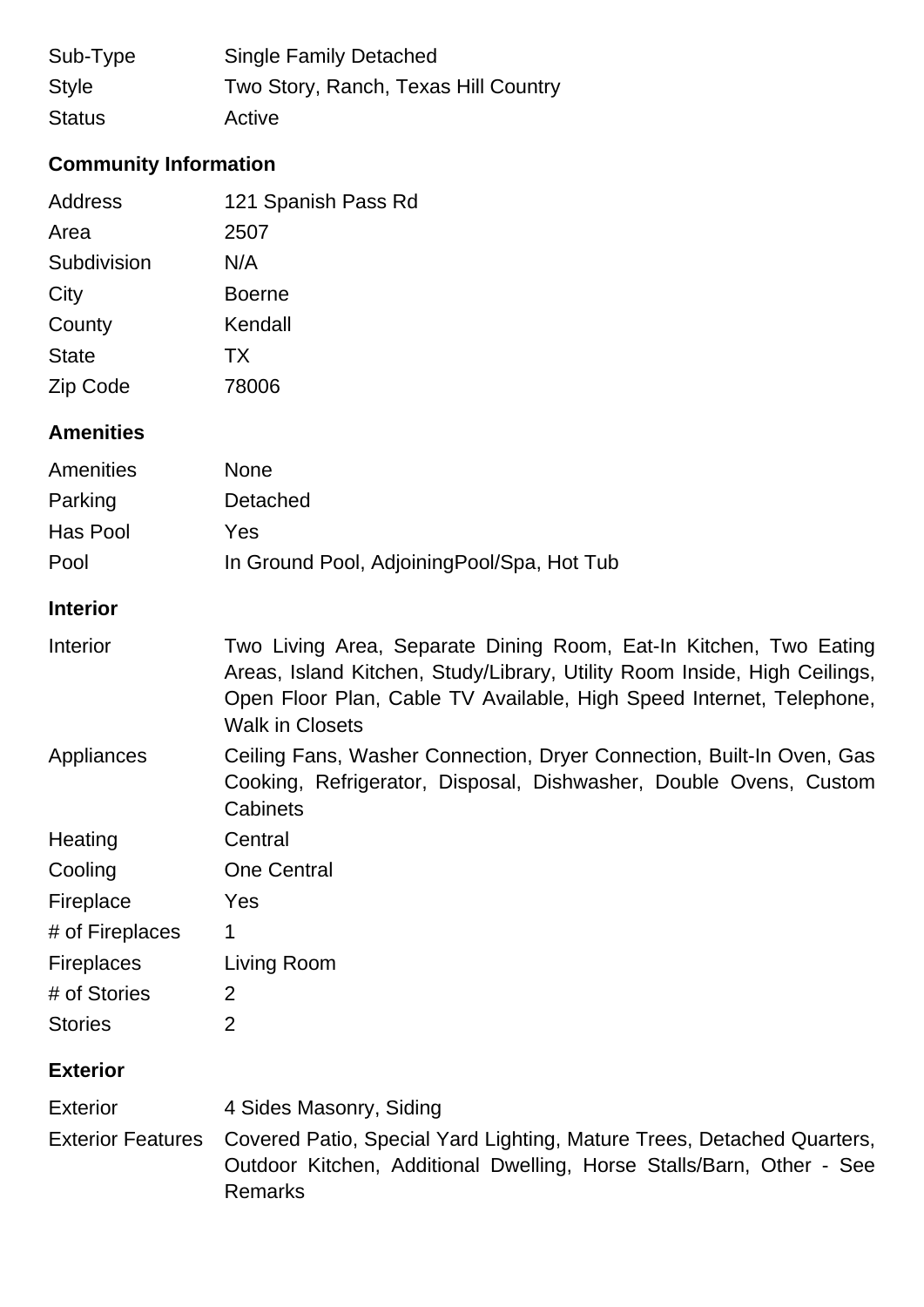| Sub-Type      | <b>Single Family Detached</b>        |
|---------------|--------------------------------------|
| <b>Style</b>  | Two Story, Ranch, Texas Hill Country |
| <b>Status</b> | Active                               |

# **Community Information**

| Address         | 121 Spanish Pass Rd |
|-----------------|---------------------|
| Area            | 2507                |
| Subdivision     | N/A                 |
| City            | <b>Boerne</b>       |
| County          | Kendall             |
| <b>State</b>    | <b>TX</b>           |
| <b>Zip Code</b> | 78006               |

#### **Amenities**

| Amenities | <b>None</b>                                 |
|-----------|---------------------------------------------|
| Parking   | Detached                                    |
| Has Pool  | Yes                                         |
| Pool      | In Ground Pool, Adjoining Pool/Spa, Hot Tub |

#### **Interior**

| Interior | Two Living Area, Separate Dining Room, Eat-In Kitchen, Two Eating         |
|----------|---------------------------------------------------------------------------|
|          | Areas, Island Kitchen, Study/Library, Utility Room Inside, High Ceilings, |
|          | Open Floor Plan, Cable TV Available, High Speed Internet, Telephone,      |
|          | Walk in Closets                                                           |

Appliances Ceiling Fans, Washer Connection, Dryer Connection, Built-In Oven, Gas Cooking, Refrigerator, Disposal, Dishwasher, Double Ovens, Custom **Cabinets** 

| Heating         | Central            |
|-----------------|--------------------|
| Cooling         | <b>One Central</b> |
| Fireplace       | Yes                |
| # of Fireplaces |                    |

| <b>Fireplaces</b> | Living Room |
|-------------------|-------------|
|                   |             |

| # of Stories   | 2 |
|----------------|---|
| <b>Stories</b> | 2 |

## **Exterior**

Exterior 4 Sides Masonry, Siding Exterior Features Covered Patio, Special Yard Lighting, Mature Trees, Detached Quarters, Outdoor Kitchen, Additional Dwelling, Horse Stalls/Barn, Other - See Remarks